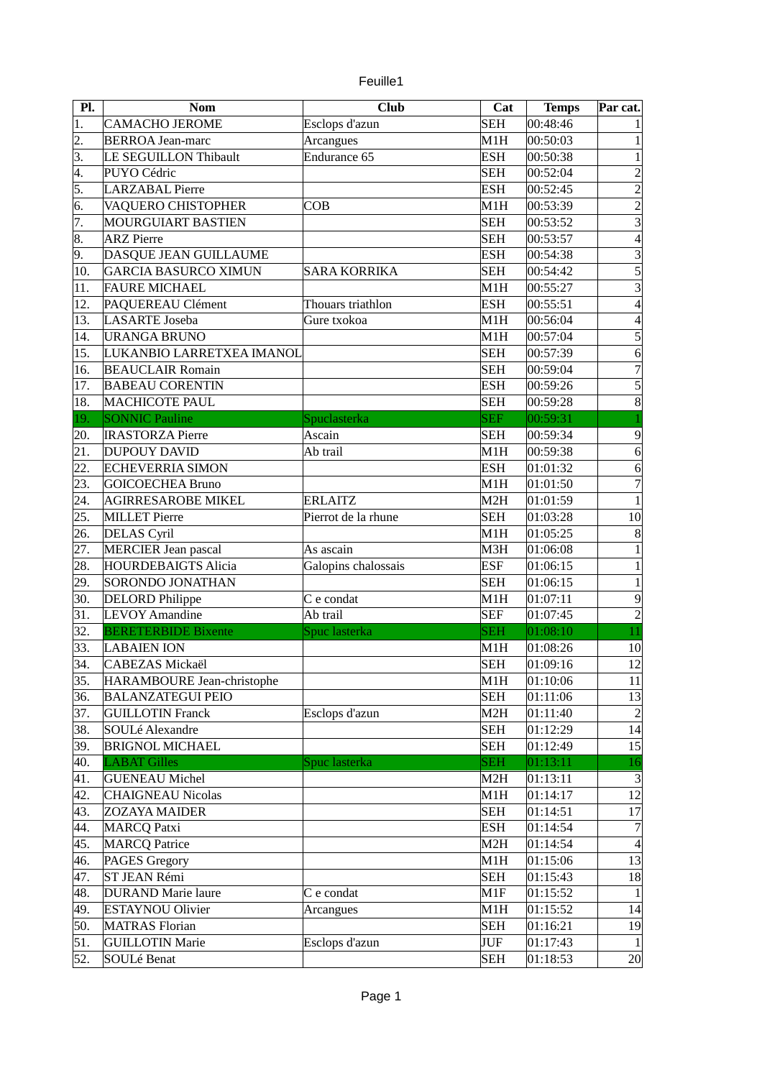|  | euille1 |
|--|---------|
|  |         |

| Pl. | <b>Nom</b>                  | <b>Club</b>         | Cat              | <b>Temps</b> | Par cat.         |
|-----|-----------------------------|---------------------|------------------|--------------|------------------|
| 1.  | <b>CAMACHO JEROME</b>       | Esclops d'azun      | <b>SEH</b>       | 00:48:46     |                  |
| 2.  | <b>BERROA Jean-marc</b>     | Arcangues           | M1H              | 00:50:03     | $\mathbf{1}$     |
| 3.  | LE SEGUILLON Thibault       | Endurance 65        | <b>ESH</b>       | 00:50:38     | $\mathbf{1}$     |
| 4.  | PUYO Cédric                 |                     | <b>SEH</b>       | 00:52:04     | $\overline{2}$   |
| 5.  | <b>LARZABAL Pierre</b>      |                     | <b>ESH</b>       | 00:52:45     | $\overline{2}$   |
| 6.  | VAQUERO CHISTOPHER          | COB                 | M1H              | 00:53:39     | $\overline{2}$   |
| 7.  | MOURGUIART BASTIEN          |                     | <b>SEH</b>       | 00:53:52     | $\overline{3}$   |
| 8.  | <b>ARZ</b> Pierre           |                     | <b>SEH</b>       | 00:53:57     | 4                |
| 9.  | DASQUE JEAN GUILLAUME       |                     | <b>ESH</b>       | 00:54:38     | $\overline{3}$   |
| 10. | <b>GARCIA BASURCO XIMUN</b> | <b>SARA KORRIKA</b> | <b>SEH</b>       | 00:54:42     | 5                |
| 11. | <b>FAURE MICHAEL</b>        |                     | M1H              | 00:55:27     | $\overline{3}$   |
| 12. | PAQUEREAU Clément           | Thouars triathlon   | <b>ESH</b>       | 00:55:51     | 4                |
| 13. | <b>LASARTE</b> Joseba       | Gure txokoa         | M1H              | 00:56:04     | 4                |
| 14. | <b>URANGA BRUNO</b>         |                     | M1H              | 00:57:04     | 5                |
| 15. | LUKANBIO LARRETXEA IMANOL   |                     | <b>SEH</b>       | 00:57:39     | $\overline{6}$   |
| 16. | <b>BEAUCLAIR Romain</b>     |                     | <b>SEH</b>       | 00:59:04     | $\overline{7}$   |
| 17. | <b>BABEAU CORENTIN</b>      |                     | <b>ESH</b>       | 00:59:26     | 5                |
| 18. | <b>MACHICOTE PAUL</b>       |                     | <b>SEH</b>       | 00:59:28     | $\bf{8}$         |
| 19. | <b>SONNIC Pauline</b>       | Spuclasterka        | <b>SEF</b>       | 00:59:31     |                  |
| 20. | <b>IRASTORZA Pierre</b>     | Ascain              | <b>SEH</b>       | 00:59:34     | 9                |
| 21. | <b>DUPOUY DAVID</b>         | Ab trail            | M1H              | 00:59:38     | $\overline{6}$   |
| 22. | <b>ECHEVERRIA SIMON</b>     |                     | <b>ESH</b>       | 01:01:32     | $6 \overline{6}$ |
| 23. | <b>GOICOECHEA Bruno</b>     |                     | M1H              | 01:01:50     | $\overline{7}$   |
| 24. | <b>AGIRRESAROBE MIKEL</b>   | <b>ERLAITZ</b>      | M2H              | 01:01:59     | $\overline{1}$   |
| 25. | <b>MILLET Pierre</b>        | Pierrot de la rhune | <b>SEH</b>       | 01:03:28     | 10               |
| 26. | <b>DELAS</b> Cyril          |                     | M1H              | 01:05:25     | $\boldsymbol{8}$ |
| 27. | <b>MERCIER Jean pascal</b>  | As ascain           | M3H              | 01:06:08     | $\,1$            |
| 28. | <b>HOURDEBAIGTS Alicia</b>  | Galopins chalossais | <b>ESF</b>       | 01:06:15     | $\mathbf{1}$     |
| 29. | SORONDO JONATHAN            |                     | <b>SEH</b>       | 01:06:15     | $\mathbf{1}$     |
| 30. | <b>DELORD Philippe</b>      | C e condat          | M1H              | 01:07:11     | $\overline{9}$   |
| 31. | <b>LEVOY Amandine</b>       | Ab trail            | <b>SEF</b>       | 01:07:45     | $\overline{2}$   |
| 32. | <b>BERETERBIDE Bixente</b>  | Spuc lasterka       | <b>SEH</b>       | 01:08:10     | 11               |
| 33. | <b>LABAIEN ION</b>          |                     | M1H              | 01:08:26     | 10               |
| 34. | <b>CABEZAS Mickaël</b>      |                     | <b>SEH</b>       | 01:09:16     | 12               |
| 35. | HARAMBOURE Jean-christophe  |                     | M1H              | 01:10:06     | 11               |
| 36. | <b>BALANZATEGUI PEIO</b>    |                     | <b>SEH</b>       | 01:11:06     | 13               |
| 37. | <b>GUILLOTIN Franck</b>     | Esclops d'azun      | M2H              | 01:11:40     | $\overline{2}$   |
| 38. | SOULé Alexandre             |                     | <b>SEH</b>       | 01:12:29     | 14               |
| 39. | <b>BRIGNOL MICHAEL</b>      |                     | <b>SEH</b>       | 01:12:49     | 15               |
| 40. | <b>LABAT Gilles</b>         | Spuc lasterka       | <b>SEH</b>       | 01:13:11     | 16               |
| 41. | <b>GUENEAU Michel</b>       |                     | M <sub>2</sub> H | 01:13:11     | $\vert 3 \vert$  |
| 42. | <b>CHAIGNEAU Nicolas</b>    |                     | M1H              | 01:14:17     | 12               |
| 43. | <b>ZOZAYA MAIDER</b>        |                     | <b>SEH</b>       | 01:14:51     | 17               |
| 44. | <b>MARCQ Patxi</b>          |                     | <b>ESH</b>       | 01:14:54     | 7                |
| 45. | <b>MARCQ Patrice</b>        |                     | M <sub>2</sub> H | 01:14:54     | $\overline{4}$   |
| 46. | <b>PAGES Gregory</b>        |                     | M1H              | 01:15:06     | 13               |
| 47. | ST JEAN Rémi                |                     | <b>SEH</b>       | 01:15:43     | 18               |
| 48. | <b>DURAND Marie laure</b>   | C e condat          | M1F              | 01:15:52     | $\vert$ 1        |
| 49. | <b>ESTAYNOU Olivier</b>     | Arcangues           | M1H              | 01:15:52     | 14               |
| 50. | <b>MATRAS Florian</b>       |                     | <b>SEH</b>       | 01:16:21     | 19               |
| 51. | <b>GUILLOTIN Marie</b>      | Esclops d'azun      | JUF              | 01:17:43     | $\vert$          |
| 52. | SOULé Benat                 |                     | <b>SEH</b>       | 01:18:53     | 20 <sup>2</sup>  |
|     |                             |                     |                  |              |                  |